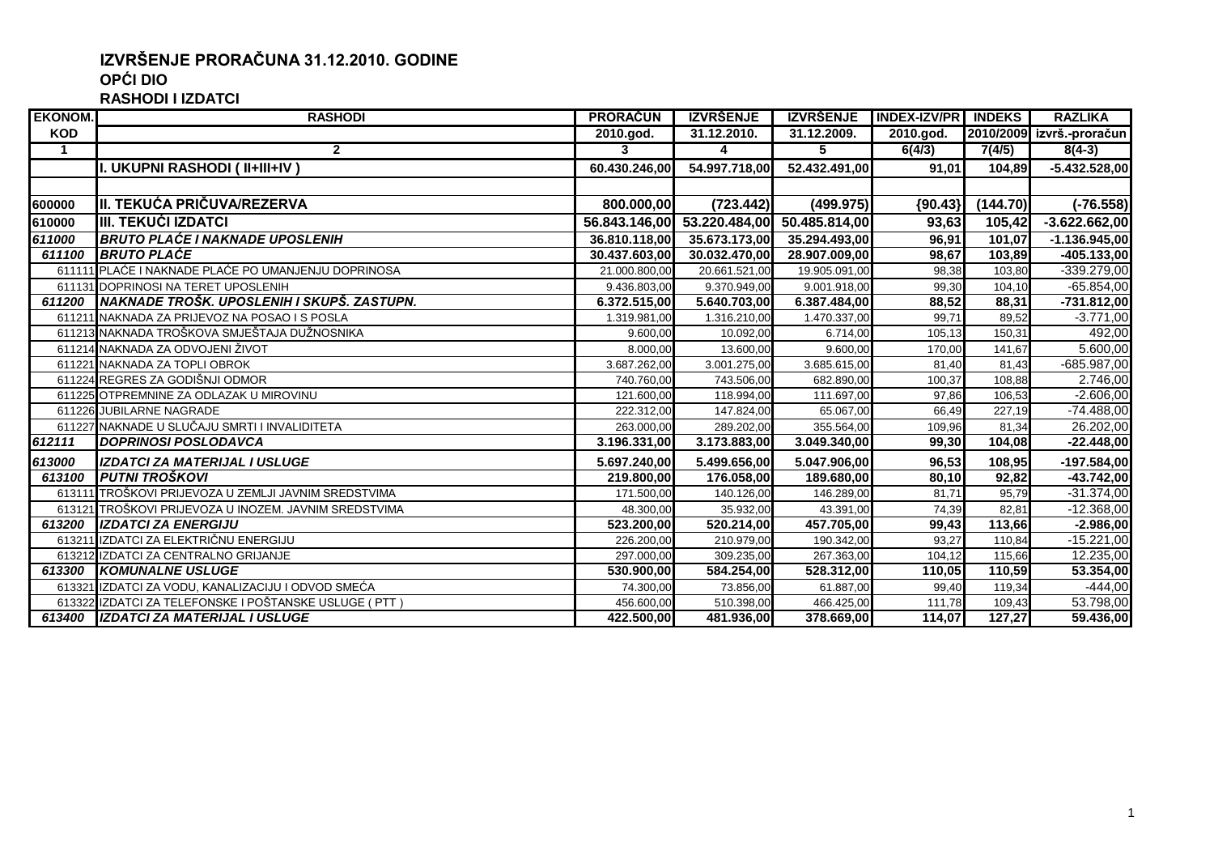## **IZVRŠENJE PRORAČUNA 31.12.2010. GODINE OPĆI DIO**

**RASHODI I IZDATCI**

| <b>EKONOM.</b>       | <b>RASHODI</b>                                          | <b>PRORAČUN</b> | <b>IZVRŠENJE</b>            | <b>IZVRŠENJE</b> | <b>INDEX-IZV/PR INDEKS</b> |          | <b>RAZLIKA</b>            |
|----------------------|---------------------------------------------------------|-----------------|-----------------------------|------------------|----------------------------|----------|---------------------------|
| <b>KOD</b>           |                                                         | 2010.god.       | 31.12.2010.                 | 31.12.2009.      | $2010$ .god.               |          | 2010/2009 izvrš.-proračun |
| $\blacktriangleleft$ | $\overline{2}$                                          | 3               | 4                           | 5                | 6(4/3)                     | 7(4/5)   | $8(4-3)$                  |
|                      | I. UKUPNI RASHODI ( II+III+IV )                         | 60.430.246,00   | 54.997.718,00               | 52.432.491,00    | 91,01                      | 104,89   | $-5.432.528,00$           |
|                      |                                                         |                 |                             |                  |                            |          |                           |
| 600000               | III. TEKUĆA PRIČUVA/REZERVA                             | 800.000,00      | (723.442)                   | (499.975)        | ${90.43}$                  | (144.70) | $(-76.558)$               |
| 610000               | <b>IIII. TEKUĆI IZDATCI</b>                             |                 | 56.843.146,00 53.220.484,00 | 50.485.814,00    | 93,63                      | 105,42   | $-3.622.662,00$           |
| 611000               | <b>BRUTO PLAĆE I NAKNADE UPOSLENIH</b>                  | 36.810.118,00   | 35.673.173,00               | 35.294.493,00    | 96.91                      | 101,07   | $-1.136.945,00$           |
| 611100               | <b>BRUTO PLAĆE</b>                                      | 30.437.603,00   | 30.032.470,00               | 28.907.009,00    | 98,67                      | 103,89   | $-405.133,00$             |
|                      | 611111 PLAĆE I NAKNADE PLAĆE PO UMANJENJU DOPRINOSA     | 21.000.800,00   | 20.661.521,00               | 19.905.091,00    | 98,38                      | 103,80   | $-339.279,00$             |
|                      | 611131 DOPRINOSI NA TERET UPOSLENIH                     | 9.436.803,00    | 9.370.949,00                | 9.001.918,00     | 99,30                      | 104,10   | $-65.854,00$              |
| 611200               | INAKNADE TROŠK. UPOSLENIH I SKUPŠ. ZASTUPN.             | 6.372.515,00    | 5.640.703,00                | 6.387.484,00     | 88,52                      | 88,31    | $-731.812,00$             |
|                      | 611211 NAKNADA ZA PRIJEVOZ NA POSAO I S POSLA           | 1.319.981,00    | 1.316.210,00                | 1.470.337,00     | 99,71                      | 89,52    | $-3.771,00$               |
|                      | 611213 NAKNADA TROŠKOVA SMJEŠTAJA DUŽNOSNIKA            | 9.600,00        | 10.092,00                   | 6.714,00         | 105,13                     | 150,31   | 492,00                    |
|                      | 611214 NAKNADA ZA ODVOJENI ŽIVOT                        | 8.000,00        | 13.600,00                   | 9.600,00         | 170,00                     | 141,67   | 5.600,00                  |
|                      | 611221 NAKNADA ZA TOPLI OBROK                           | 3.687.262,00    | 3.001.275,00                | 3.685.615,00     | 81,40                      | 81,43    | -685.987,00               |
|                      | 611224 REGRES ZA GODIŠNJI ODMOR                         | 740.760,00      | 743.506,00                  | 682.890,00       | 100,37                     | 108,88   | 2.746,00                  |
|                      | 611225 OTPREMNINE ZA ODLAZAK U MIROVINU                 | 121.600,00      | 118.994,00                  | 111.697,00       | 97,86                      | 106,53   | $-2.606,00$               |
|                      | 611226 JUBILARNE NAGRADE                                | 222.312,00      | 147.824,00                  | 65.067,00        | 66,49                      | 227,19   | $-74.488,00$              |
|                      | 611227 NAKNADE U SLUČAJU SMRTI I INVALIDITETA           | 263.000,00      | 289.202,00                  | 355.564,00       | 109,96                     | 81,34    | 26.202,00                 |
| 612111               | <b>DOPRINOSI POSLODAVCA</b>                             | 3.196.331,00    | 3.173.883,00                | 3.049.340,00     | 99,30                      | 104,08   | $-22.448,00$              |
| 613000               | <b>IZDATCI ZA MATERIJAL I USLUGE</b>                    | 5.697.240,00    | 5.499.656,00                | 5.047.906,00     | 96,53                      | 108,95   | $-197.584,00$             |
| 613100               | I PUTNI TROŠKOVI                                        | 219.800,00      | 176.058,00                  | 189.680,00       | 80,10                      | 92,82    | $-43.742,00$              |
|                      | 613111 TROŠKOVI PRIJEVOZA U ZEMLJI JAVNIM SREDSTVIMA    | 171.500,00      | 140.126,00                  | 146.289,00       | 81,71                      | 95,79    | $-31.374,00$              |
|                      | 613121 TROŠKOVI PRIJEVOZA U INOZEM. JAVNIM SREDSTVIMA   | 48.300,00       | 35.932,00                   | 43.391,00        | 74,39                      | 82,81    | $-12.368,00$              |
| 613200               | <b>IZDATCI ZA ENERGIJU</b>                              | 523.200,00      | 520.214,00                  | 457.705,00       | 99,43                      | 113,66   | $-2.986,00$               |
|                      | 613211 IZDATCI ZA ELEKTRIČNU ENERGIJU                   | 226.200,00      | 210.979,00                  | 190.342,00       | 93,27                      | 110,84   | $-15.221,00$              |
|                      | 613212 IZDATCI ZA CENTRALNO GRIJANJE                    | 297.000,00      | 309.235,00                  | 267.363,00       | 104,12                     | 115,66   | 12.235,00                 |
| 613300               | <b>KOMUNALNE USLUGE</b>                                 | 530.900,00      | 584.254,00                  | 528.312,00       | 110,05                     | 110,59   | 53.354,00                 |
|                      | 613321 IZDATCI ZA VODU, KANALIZACIJU I ODVOD SMEĆA      | 74.300,00       | 73.856,00                   | 61.887,00        | 99,40                      | 119,34   | $-444,00$                 |
|                      | 613322 IZDATCI ZA TELEFONSKE I POŠTANSKE USLUGE ( PTT ) | 456.600,00      | 510.398,00                  | 466.425,00       | 111,78                     | 109,43   | 53.798,00                 |
| 613400               | <b>IZDATCI ZA MATERIJAL I USLUGE</b>                    | 422.500,00      | 481.936,00                  | 378.669,00       | 114,07                     | 127,27   | 59.436,00                 |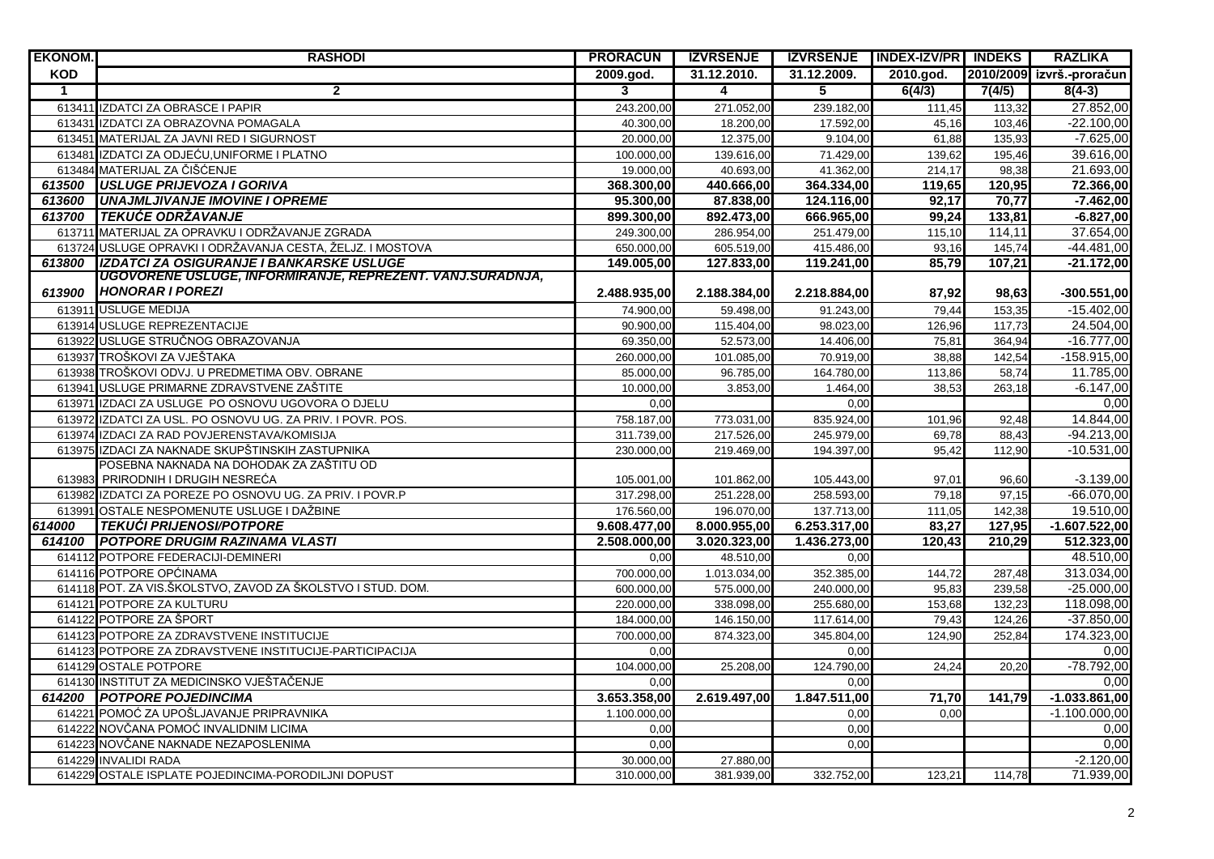| <b>EKONOM.</b> | <b>RASHODI</b>                                                                                        | <b>PRORACUN</b>              | <b>IZVRŠENJE</b>             |                              | IZVRŠENJE   INDEX-IZV/PR   INDEKS |                  | <b>RAZLIKA</b>                |
|----------------|-------------------------------------------------------------------------------------------------------|------------------------------|------------------------------|------------------------------|-----------------------------------|------------------|-------------------------------|
| KOD            |                                                                                                       | 2009.god.                    | 31.12.2010.                  | 31.12.2009.                  | 2010.god.                         |                  | 2010/2009 izvrš.-proračun     |
| $\overline{1}$ | $\overline{2}$                                                                                        | 3                            | $\overline{4}$               | $\overline{5}$               | 6(4/3)                            | 7(4/5)           | $8(4-3)$                      |
|                | 613411 IZDATCI ZA OBRASCE I PAPIR                                                                     | 243.200,00                   | 271.052,00                   | 239.182,00                   | 111,45                            | 113,32           | 27.852,00                     |
|                | 613431 IZDATCI ZA OBRAZOVNA POMAGALA                                                                  | 40.300,00                    | 18.200,00                    | 17.592,00                    | 45,16                             | 103,46           | $-22.100,00$                  |
|                | 613451 MATERIJAL ZA JAVNI RED I SIGURNOST                                                             | 20.000,00                    | 12.375,00                    | 9.104,00                     | 61,88                             | 135,93           | $-7.625,00$                   |
|                | 613481 IZDATCI ZA ODJEĆU.UNIFORME I PLATNO                                                            | 100.000.00                   | 139.616,00                   | 71.429,00                    | 139.62                            | 195.46           | 39.616,00                     |
|                | 613484 MATERIJAL ZA ČIŠĆENJE                                                                          | 19.000,00                    | 40.693,00                    | 41.362,00                    | 214,17                            | 98,38            | 21.693,00                     |
| 613500         | <b>USLUGE PRIJEVOZA I GORIVA</b>                                                                      | 368.300,00                   | 440.666,00                   | 364.334,00                   | 119,65                            | 120,95           | 72.366,00                     |
| 613600         | <b>UNAJMLJIVANJE IMOVINE I OPREME</b>                                                                 | 95.300,00                    | 87.838,00                    | 124.116,00                   | 92.17                             | 70.77            | $-7.462,00$                   |
| 613700         | <b>TEKUĆE ODRŽAVANJE</b>                                                                              | 899.300,00                   | 892.473,00                   | 666.965,00                   | 99,24                             | 133,81           | $-6.827,00$                   |
|                | 613711 MATERIJAL ZA OPRAVKU I ODRŽAVANJE ZGRADA                                                       | 249.300,00                   | 286.954,00                   | 251.479,00                   | 115,10                            | 114,11           | 37.654,00                     |
|                | 613724 USLUGE OPRAVKI I ODRŽAVANJA CESTA, ŽELJZ. I MOSTOVA                                            | 650.000,00                   | 605.519,00                   | 415.486,00                   | 93,16                             | 145,74           | $-44.481,00$                  |
| 613800         | IZDATCI ZA OSIGURANJE I BANKARSKE USLUGE<br>UGOVORENE USLUGE, INFORMIRANJE, REPREZENT. VANJ.SURADNJA, | 149.005,00                   | 127.833,00                   | 119.241,00                   | 85.79                             | 107,21           | $-21.172,00$                  |
| 613900         | <b>HONORAR I POREZI</b>                                                                               | 2.488.935,00                 | 2.188.384,00                 | 2.218.884,00                 | 87,92                             | 98,63            | $-300.551,00$                 |
|                | 613911 USLUGE MEDIJA                                                                                  | 74.900.00                    | 59.498.00                    | 91.243.00                    | 79.44                             | 153,35           | $-15.402,00$                  |
|                | 613914 USLUGE REPREZENTACIJE                                                                          | 90.900,00                    | 115.404,00                   | 98.023,00                    | 126,96                            | 117,73           | 24.504,00                     |
|                | 613922 USLUGE STRUČNOG OBRAZOVANJA                                                                    | 69.350,00                    | 52.573,00                    | 14.406,00                    | 75.81                             | 364,94           | $-16.777,00$                  |
|                | 613937 TROŠKOVI ZA VJEŠTAKA                                                                           | 260.000,00                   | 101.085,00                   | 70.919,00                    | 38,88                             | 142,54           | $-158.915,00$                 |
|                | 613938 TROŠKOVI ODVJ. U PREDMETIMA OBV. OBRANE                                                        | 85.000,00                    | 96.785,00                    | 164.780,00                   | 113,86                            | 58,74            | 11.785,00                     |
|                | 613941 USLUGE PRIMARNE ZDRAVSTVENE ZAŠTITE                                                            | 10.000,00                    | 3.853,00                     | 1.464,00                     | 38,53                             | 263,18           | $-6.147,00$                   |
|                | 613971 IZDACI ZA USLUGE PO OSNOVU UGOVORA O DJELU                                                     | 0,00                         |                              | 0,00                         |                                   |                  | 0,00                          |
|                | 613972 IZDATCI ZA USL. PO OSNOVU UG. ZA PRIV. I POVR. POS.                                            | 758.187,00                   | 773.031,00                   | 835.924,00                   | 101,96                            | 92.48            | 14.844,00                     |
|                | 613974 IZDACI ZA RAD POVJERENSTAVA/KOMISIJA                                                           | 311.739,00                   | 217.526,00                   | 245.979,00                   | 69,78                             | 88,43            | $-94.213,00$                  |
|                | 613975 IZDACI ZA NAKNADE SKUPŠTINSKIH ZASTUPNIKA                                                      | 230.000,00                   | 219.469,00                   | 194.397,00                   | 95.42                             | 112,90           | $-10.531,00$                  |
|                | POSEBNA NAKNADA NA DOHODAK ZA ZAŠTITU OD                                                              |                              |                              |                              |                                   |                  |                               |
|                | 613983 PRIRODNIH I DRUGIH NESREĆA                                                                     | 105.001,00                   | 101.862,00                   | 105.443,00                   | 97,01                             | 96,60            | $-3.139,00$                   |
|                | 613982 IZDATCI ZA POREZE PO OSNOVU UG. ZA PRIV. I POVR.P                                              | 317.298,00                   | 251.228,00                   | 258.593,00                   | 79,18                             | 97,15            | $-66.070,00$                  |
|                | 613991 OSTALE NESPOMENUTE USLUGE I DAŽBINE                                                            | 176.560,00                   | 196.070,00                   | 137.713,00                   | 111,05                            | 142,38           | 19.510,00                     |
| 614000         | <b>TEKUĆI PRIJENOSI/POTPORE</b><br><b>POTPORE DRUGIM RAZINAMA VLASTI</b>                              | 9.608.477,00<br>2.508.000,00 | 8.000.955,00<br>3.020.323,00 | 6.253.317,00<br>1.436.273,00 | 83,27<br>120.43                   | 127,95<br>210.29 | $-1.607.522,00$<br>512.323,00 |
| 614100         | 614112 POTPORE FEDERACIJI-DEMINERI                                                                    |                              | 48.510,00                    | 0.00                         |                                   |                  | 48.510,00                     |
|                | 614116 POTPORE OPĆINAMA                                                                               | 0,00<br>700.000,00           | 1.013.034,00                 | 352.385,00                   | 144,72                            | 287,48           | 313.034,00                    |
|                | 614118 POT. ZA VIS.ŠKOLSTVO, ZAVOD ZA ŠKOLSTVO I STUD. DOM.                                           | 600.000,00                   | 575.000,00                   | 240.000,00                   | 95.83                             | 239.58           | $-25.000,00$                  |
|                | 614121 POTPORE ZA KULTURU                                                                             | 220.000,00                   | 338.098,00                   | 255.680,00                   | 153,68                            | 132,23           | 118.098,00                    |
|                | 614122 POTPORE ZA ŠPORT                                                                               | 184.000,00                   | 146.150,00                   | 117.614,00                   | 79,43                             | 124,26           | $-37.850,00$                  |
|                | 614123 POTPORE ZA ZDRAVSTVENE INSTITUCIJE                                                             | 700.000,00                   | 874.323,00                   | 345.804,00                   | 124,90                            | 252,84           | 174.323,00                    |
|                | 614123 POTPORE ZA ZDRAVSTVENE INSTITUCIJE-PARTICIPACIJA                                               | 0.00                         |                              | 0.00                         |                                   |                  | 0,00                          |
|                | 614129 OSTALE POTPORE                                                                                 | 104.000,00                   | 25.208,00                    | 124.790,00                   | 24,24                             | 20,20            | $-78.792,00$                  |
|                | 614130 INSTITUT ZA MEDICINSKO VJEŠTAČENJE                                                             | 0.00                         |                              | 0.00                         |                                   |                  | 0.00                          |
|                | 614200 POTPORE POJEDINCIMA                                                                            | 3.653.358,00                 | 2.619.497,00                 | 1.847.511,00                 | 71,70                             | 141,79           | $-1.033.861,00$               |
|                | 614221 POMOĆ ZA UPOŠLJAVANJE PRIPRAVNIKA                                                              | 1.100.000,00                 |                              | 0,00                         | 0,00                              |                  | $-1.100.000,00$               |
|                | 614222 NOVČANA POMOĆ INVALIDNIM LICIMA                                                                | 0,00                         |                              | 0,00                         |                                   |                  | 0,00                          |
|                | 614223 NOVČANE NAKNADE NEZAPOSLENIMA                                                                  | 0,00                         |                              | 0,00                         |                                   |                  | 0,00                          |
|                | 614229 INVALIDI RADA                                                                                  | 30.000,00                    | 27.880,00                    |                              |                                   |                  | $-2.120,00$                   |
|                | 614229 OSTALE ISPLATE POJEDINCIMA-PORODILJNI DOPUST                                                   | 310.000,00                   | 381.939,00                   | 332.752,00                   | 123,21                            | 114,78           | 71.939,00                     |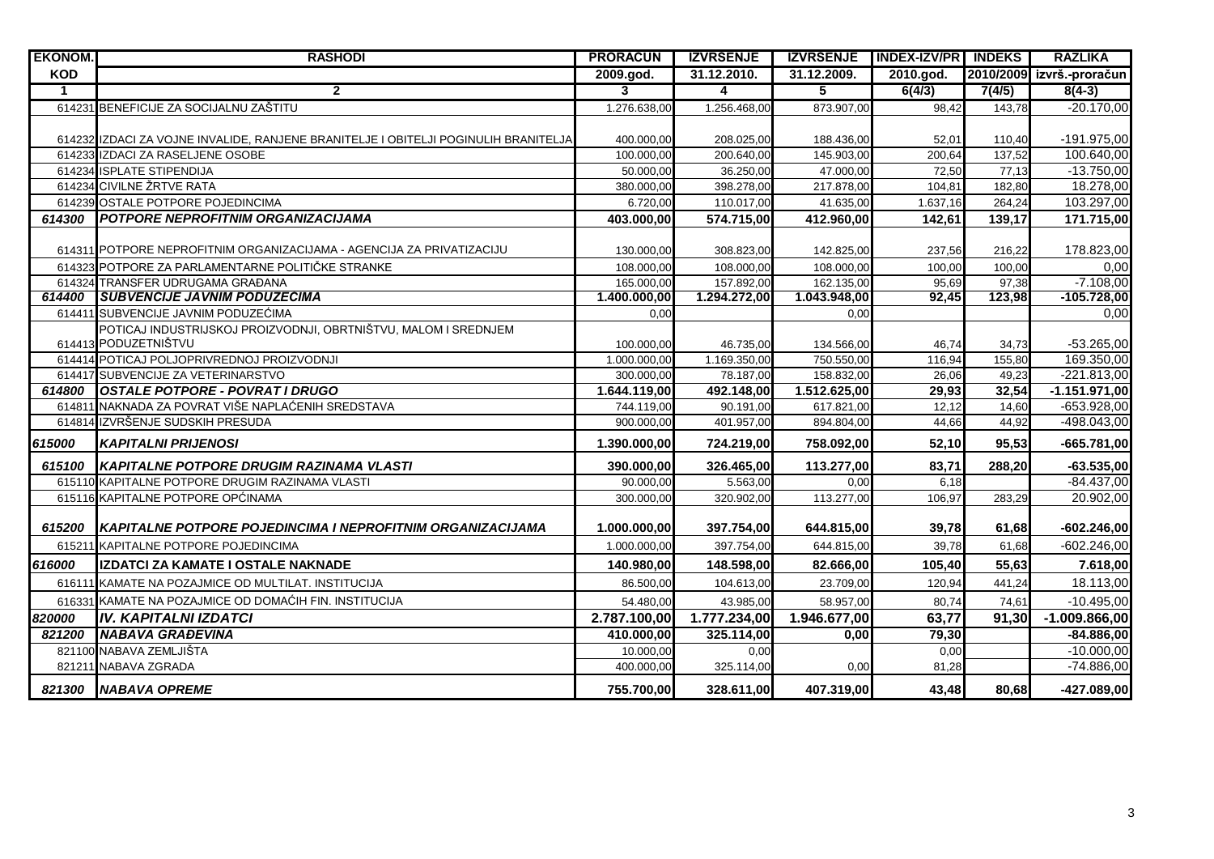| <b>EKONOM.</b> | <b>RASHODI</b>                                                                      | <b>PRORAČUN</b>         | <b>IZVRŠENJE</b> |              | IZVRŠENJE INDEX-IZV/PR INDEKS |        | <b>RAZLIKA</b>            |
|----------------|-------------------------------------------------------------------------------------|-------------------------|------------------|--------------|-------------------------------|--------|---------------------------|
| <b>KOD</b>     |                                                                                     | 2009. god.              | 31.12.2010.      | 31.12.2009.  | 2010.god.                     |        | 2010/2009 izvrš.-proračun |
| $\mathbf{1}$   | $\overline{2}$                                                                      | $\overline{\mathbf{3}}$ | $\overline{4}$   | 5            | 6(4/3)                        | 7(4/5) | $8(4-3)$                  |
|                | 614231 BENEFICIJE ZA SOCIJALNU ZAŠTITU                                              | 1.276.638,00            | 1.256.468,00     | 873.907,00   | 98.42                         | 143,78 | $-20.170,00$              |
|                |                                                                                     |                         |                  |              |                               |        |                           |
|                | 614232 IZDACI ZA VOJNE INVALIDE, RANJENE BRANITELJE I OBITELJI POGINULIH BRANITELJA | 400.000,00              | 208.025,00       | 188.436,00   | 52,01                         | 110,40 | $-191.975,00$             |
|                | 614233 IZDACI ZA RASELJENE OSOBE                                                    | 100.000.00              | 200.640,00       | 145.903,00   | 200,64                        | 137,52 | 100.640,00                |
|                | 614234 ISPLATE STIPENDIJA                                                           | 50.000,00               | 36.250,00        | 47.000,00    | 72.50                         | 77.13  | $-13.750,00$              |
|                | 614234 CIVILNE ŽRTVE RATA                                                           | 380.000,00              | 398.278,00       | 217.878,00   | 104,81                        | 182,80 | 18.278,00                 |
|                | 614239 OSTALE POTPORE POJEDINCIMA                                                   | 6.720,00                | 110.017,00       | 41.635,00    | 1.637,16                      | 264,24 | 103.297,00                |
| 614300         | <b>POTPORE NEPROFITNIM ORGANIZACIJAMA</b>                                           | 403.000,00              | 574.715,00       | 412.960,00   | 142,61                        | 139,17 | 171.715,00                |
|                |                                                                                     |                         |                  |              |                               |        |                           |
|                | 614311 POTPORE NEPROFITNIM ORGANIZACIJAMA - AGENCIJA ZA PRIVATIZACIJU               | 130.000,00              | 308.823,00       | 142.825,00   | 237,56                        | 216,22 | 178.823,00                |
|                | 614323 POTPORE ZA PARLAMENTARNE POLITIČKE STRANKE                                   | 108.000,00              | 108.000,00       | 108.000,00   | 100,00                        | 100,00 | 0,00                      |
|                | 614324 TRANSFER UDRUGAMA GRAĐANA                                                    | 165.000,00              | 157.892,00       | 162.135,00   | 95,69                         | 97,38  | $-7.108,00$               |
| 614400         | <b>SUBVENCIJE JAVNIM PODUZECIMA</b>                                                 | 1.400.000,00            | 1.294.272,00     | 1.043.948,00 | 92,45                         | 123,98 | $-105.728,00$             |
| 614411         | SUBVENCIJE JAVNIM PODUZEĆIMA                                                        | 0,00                    |                  | 0,00         |                               |        | 0,00                      |
|                | POTICAJ INDUSTRIJSKOJ PROIZVODNJI. OBRTNIŠTVU. MALOM I SREDNJEM                     |                         |                  |              |                               |        |                           |
|                | 614413 PODUZETNIŠTVU                                                                | 100.000,00              | 46.735,00        | 134.566,00   | 46,74                         | 34,73  | $-53.265,00$              |
|                | 614414 POTICAJ POLJOPRIVREDNOJ PROIZVODNJI                                          | 1.000.000,00            | 1.169.350,00     | 750.550,00   | 116,94                        | 155,80 | 169.350,00                |
|                | 614417 SUBVENCIJE ZA VETERINARSTVO                                                  | 300.000,00              | 78.187,00        | 158.832,00   | 26,06                         | 49.23  | $-221.813,00$             |
| 614800         | <b>OSTALE POTPORE - POVRAT I DRUGO</b>                                              | 1.644.119,00            | 492.148,00       | 1.512.625,00 | 29,93                         | 32,54  | $-1.151.971,00$           |
| 614811         | NAKNADA ZA POVRAT VIŠE NAPLAĆENIH SREDSTAVA                                         | 744.119,00              | 90.191,00        | 617.821,00   | 12,12                         | 14,60  | -653.928,00               |
| 614814         | IZVRŠENJE SUDSKIH PRESUDA                                                           | 900.000,00              | 401.957,00       | 894.804,00   | 44,66                         | 44,92  | -498.043,00               |
| 615000         | <b>KAPITALNI PRIJENOSI</b>                                                          | 1.390.000,00            | 724.219,00       | 758.092,00   | 52,10                         | 95,53  | $-665.781,00$             |
| 615100         | KAPITALNE POTPORE DRUGIM RAZINAMA VLASTI                                            | 390.000.00              | 326.465,00       | 113.277,00   | 83.71                         | 288,20 | $-63.535,00$              |
|                | 615110 KAPITALNE POTPORE DRUGIM RAZINAMA VLASTI                                     | 90.000,00               | 5.563,00         | 0,00         | 6,18                          |        | $-84.437,00$              |
|                | 615116 KAPITALNE POTPORE OPĆINAMA                                                   | 300.000,00              | 320.902,00       | 113.277,00   | 106,97                        | 283,29 | 20.902,00                 |
|                |                                                                                     |                         |                  |              |                               |        |                           |
| 615200         | <b>KAPITALNE POTPORE POJEDINCIMA I NEPROFITNIM ORGANIZACIJAMA</b>                   | 1.000.000,00            | 397.754,00       | 644.815,00   | 39,78                         | 61,68  | $-602.246,00$             |
| 615211         | KAPITALNE POTPORE POJEDINCIMA                                                       | 1.000.000,00            | 397.754,00       | 644.815,00   | 39,78                         | 61.68  | $-602.246,00$             |
| 616000         | IZDATCI ZA KAMATE I OSTALE NAKNADE                                                  | 140.980,00              | 148.598,00       | 82.666,00    | 105,40                        | 55,63  | 7.618,00                  |
| 616111         | KAMATE NA POZAJMICE OD MULTILAT. INSTITUCIJA                                        | 86.500,00               | 104.613,00       | 23.709,00    | 120,94                        | 441,24 | 18.113,00                 |
| 616331         | KAMATE NA POZAJMICE OD DOMAĆIH FIN. INSTITUCIJA                                     | 54.480,00               | 43.985,00        | 58.957,00    | 80,74                         | 74,61  | $-10.495,00$              |
| 820000         | <b>IV. KAPITALNI IZDATCI</b>                                                        | 2.787.100,00            | 1.777.234,00     | 1.946.677,00 | 63,77                         | 91,30  | $-1.009.866,00$           |
| 821200         | <b>NABAVA GRAĐEVINA</b>                                                             | 410.000,00              | 325.114,00       | 0,00         | 79,30                         |        | $-84.886,00$              |
| 821100         | NABAVA ZEMLJIŠTA                                                                    | 10.000,00               | 0,00             |              | 0,00                          |        | $-10.000,00$              |
|                | 821211 NABAVA ZGRADA                                                                | 400.000,00              | 325.114,00       | 0,00         | 81,28                         |        | $-74.886,00$              |
|                | 821300 NABAVA OPREME                                                                | 755.700,00              | 328.611,00       | 407.319,00   | 43,48                         | 80.68  | $-427.089,00$             |